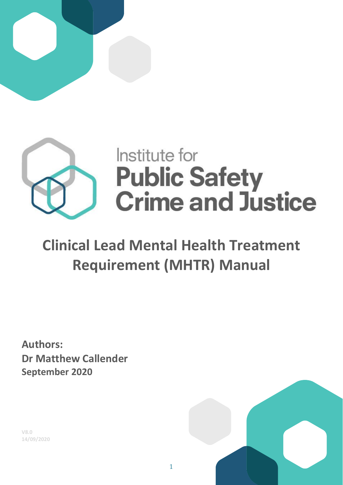



# **Clinical Lead Mental Health Treatment Requirement (MHTR) Manual**

**Authors: Dr Matthew Callender September 2020**

**V8.0 14/09/2020**

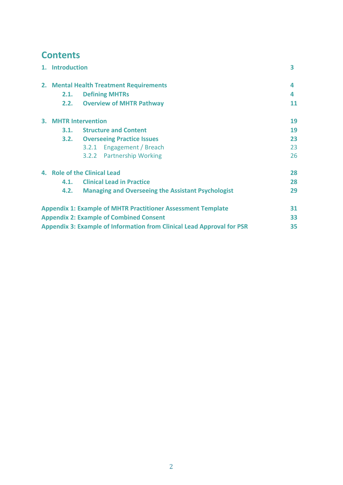## **Contents**

|                                                                               |                                         | 1. Introduction                                                     |    |  |  |  |
|-------------------------------------------------------------------------------|-----------------------------------------|---------------------------------------------------------------------|----|--|--|--|
|                                                                               | 2. Mental Health Treatment Requirements |                                                                     | 4  |  |  |  |
|                                                                               | 2.1.                                    | <b>Defining MHTRs</b>                                               | 4  |  |  |  |
|                                                                               | 2.2.                                    | <b>Overview of MHTR Pathway</b>                                     | 11 |  |  |  |
|                                                                               | 3. MHTR Intervention                    |                                                                     | 19 |  |  |  |
|                                                                               | 3.1.                                    | <b>Structure and Content</b>                                        | 19 |  |  |  |
|                                                                               |                                         | <b>3.2.</b> Overseeing Practice Issues                              | 23 |  |  |  |
|                                                                               |                                         | 3.2.1 Engagement / Breach                                           | 23 |  |  |  |
|                                                                               |                                         | 3.2.2 Partnership Working                                           | 26 |  |  |  |
|                                                                               | 4. Role of the Clinical Lead            |                                                                     | 28 |  |  |  |
|                                                                               | 4.1.                                    | <b>Clinical Lead in Practice</b>                                    | 28 |  |  |  |
|                                                                               | 4.2.                                    | <b>Managing and Overseeing the Assistant Psychologist</b>           | 29 |  |  |  |
|                                                                               |                                         | <b>Appendix 1: Example of MHTR Practitioner Assessment Template</b> | 31 |  |  |  |
| <b>Appendix 2: Example of Combined Consent</b>                                |                                         |                                                                     |    |  |  |  |
| <b>Appendix 3: Example of Information from Clinical Lead Approval for PSR</b> |                                         |                                                                     |    |  |  |  |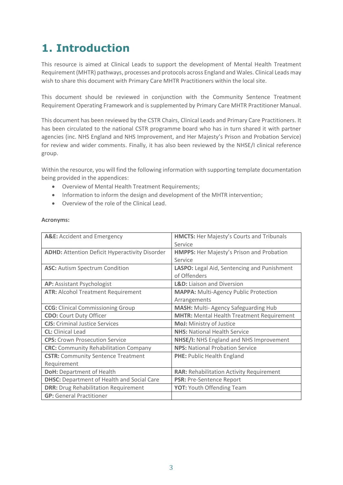## **1. Introduction**

This resource is aimed at Clinical Leads to support the development of Mental Health Treatment Requirement (MHTR) pathways, processes and protocols across England and Wales. Clinical Leads may wish to share this document with Primary Care MHTR Practitioners within the local site.

This document should be reviewed in conjunction with the Community Sentence Treatment Requirement Operating Framework and is supplemented by Primary Care MHTR Practitioner Manual.

This document has been reviewed by the CSTR Chairs, Clinical Leads and Primary Care Practitioners. It has been circulated to the national CSTR programme board who has in turn shared it with partner agencies (inc. NHS England and NHS Improvement, and Her Majesty's Prison and Probation Service) for review and wider comments. Finally, it has also been reviewed by the NHSE/I clinical reference group.

Within the resource, you will find the following information with supporting template documentation being provided in the appendices:

- Overview of Mental Health Treatment Requirements;
- Information to inform the design and development of the MHTR intervention;
- Overview of the role of the Clinical Lead.

#### **Acronyms:**

| A&E: Accident and Emergency                           | <b>HMCTS: Her Majesty's Courts and Tribunals</b> |
|-------------------------------------------------------|--------------------------------------------------|
|                                                       | Service                                          |
| <b>ADHD: Attention Deficit Hyperactivity Disorder</b> | <b>HMPPS:</b> Her Majesty's Prison and Probation |
|                                                       | Service                                          |
| <b>ASC:</b> Autism Spectrum Condition                 | LASPO: Legal Aid, Sentencing and Punishment      |
|                                                       | of Offenders                                     |
| AP: Assistant Psychologist                            | <b>L&amp;D:</b> Liaison and Diversion            |
| <b>ATR: Alcohol Treatment Requirement</b>             | <b>MAPPA: Multi-Agency Public Protection</b>     |
|                                                       | Arrangements                                     |
| <b>CCG:</b> Clinical Commissioning Group              | <b>MASH:</b> Multi-Agency Safeguarding Hub       |
| <b>CDO:</b> Court Duty Officer                        | <b>MHTR: Mental Health Treatment Requirement</b> |
| <b>CJS:</b> Criminal Justice Services                 | MoJ: Ministry of Justice                         |
| <b>CL:</b> Clinical Lead                              | <b>NHS: National Health Service</b>              |
| <b>CPS:</b> Crown Prosecution Service                 | NHSE/I: NHS England and NHS Improvement          |
| <b>CRC:</b> Community Rehabilitation Company          | <b>NPS: National Probation Service</b>           |
| <b>CSTR:</b> Community Sentence Treatment             | <b>PHE: Public Health England</b>                |
| Requirement                                           |                                                  |
| <b>DoH: Department of Health</b>                      | <b>RAR: Rehabilitation Activity Requirement</b>  |
| <b>DHSC:</b> Department of Health and Social Care     | <b>PSR: Pre-Sentence Report</b>                  |
| <b>DRR: Drug Rehabilitation Requirement</b>           | <b>YOT: Youth Offending Team</b>                 |
| <b>GP:</b> General Practitioner                       |                                                  |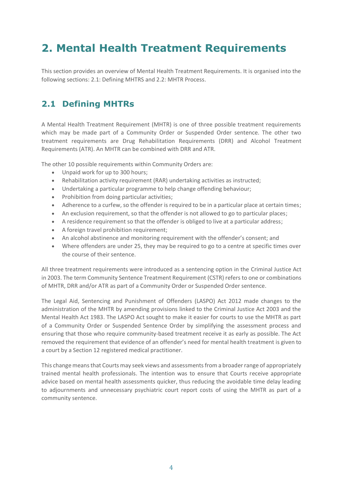## **2. Mental Health Treatment Requirements**

This section provides an overview of Mental Health Treatment Requirements. It is organised into the following sections: 2.1: Defining MHTRS and 2.2: MHTR Process.

## **2.1 Defining MHTRs**

A Mental Health Treatment Requirement (MHTR) is one of three possible treatment requirements which may be made part of a Community Order or Suspended Order sentence. The other two treatment requirements are Drug Rehabilitation Requirements (DRR) and Alcohol Treatment Requirements (ATR). An MHTR can be combined with DRR and ATR.

The other 10 possible requirements within Community Orders are:

- Unpaid work for up to 300 hours;
- Rehabilitation activity requirement (RAR) undertaking activities as instructed;
- Undertaking a particular programme to help change offending behaviour;
- Prohibition from doing particular activities;
- Adherence to a curfew, so the offender is required to be in a particular place at certain times;
- An exclusion requirement, so that the offender is not allowed to go to particular places;
- A residence requirement so that the offender is obliged to live at a particular address;
- A foreign travel prohibition requirement;
- An alcohol abstinence and monitoring requirement with the offender's consent; and
- Where offenders are under 25, they may be required to go to a centre at specific times over the course of their sentence.

All three treatment requirements were introduced as a sentencing option in the Criminal Justice Act in 2003. The term Community Sentence Treatment Requirement (CSTR) refers to one or combinations of MHTR, DRR and/or ATR as part of a Community Order or Suspended Order sentence.

The Legal Aid, Sentencing and Punishment of Offenders (LASPO) Act 2012 made changes to the administration of the MHTR by amending provisions linked to the Criminal Justice Act 2003 and the Mental Health Act 1983. The LASPO Act sought to make it easier for courts to use the MHTR as part of a Community Order or Suspended Sentence Order by simplifying the assessment process and ensuring that those who require community-based treatment receive it as early as possible. The Act removed the requirement that evidence of an offender's need for mental health treatment is given to a court by a Section 12 registered medical practitioner.

This change means that Courts may seek views and assessments from a broader range of appropriately trained mental health professionals. The intention was to ensure that Courts receive appropriate advice based on mental health assessments quicker, thus reducing the avoidable time delay leading to adjournments and unnecessary psychiatric court report costs of using the MHTR as part of a community sentence.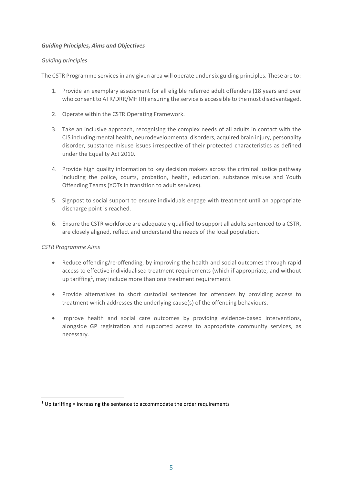#### *Guiding Principles, Aims and Objectives*

#### *Guiding principles*

The CSTR Programme services in any given area will operate under six guiding principles. These are to:

- 1. Provide an exemplary assessment for all eligible referred adult offenders (18 years and over who consent to ATR/DRR/MHTR) ensuring the service is accessible to the most disadvantaged.
- 2. Operate within the CSTR Operating Framework.
- 3. Take an inclusive approach, recognising the complex needs of all adults in contact with the CJS including mental health, neurodevelopmental disorders, acquired brain injury, personality disorder, substance misuse issues irrespective of their protected characteristics as defined under the Equality Act 2010.
- 4. Provide high quality information to key decision makers across the criminal justice pathway including the police, courts, probation, health, education, substance misuse and Youth Offending Teams (YOTs in transition to adult services).
- 5. Signpost to social support to ensure individuals engage with treatment until an appropriate discharge point is reached.
- 6. Ensure the CSTR workforce are adequately qualified to support all adults sentenced to a CSTR, are closely aligned, reflect and understand the needs of the local population.

#### *CSTR Programme Aims*

- Reduce offending/re-offending, by improving the health and social outcomes through rapid access to effective individualised treatment requirements (which if appropriate, and without up tariffing<sup>1</sup>, may include more than one treatment requirement).
- Provide alternatives to short custodial sentences for offenders by providing access to treatment which addresses the underlying cause(s) of the offending behaviours.
- Improve health and social care outcomes by providing evidence-based interventions, alongside GP registration and supported access to appropriate community services, as necessary.

 $1$  Up tariffing = increasing the sentence to accommodate the order requirements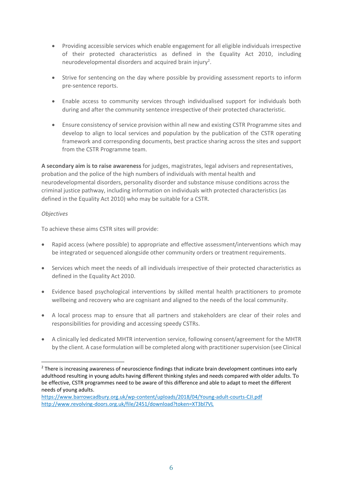- Providing accessible services which enable engagement for all eligible individuals irrespective of their protected characteristics as defined in the Equality Act 2010, including neurodevelopmental disorders and acquired brain injury<sup>2</sup>.
- Strive for sentencing on the day where possible by providing assessment reports to inform pre-sentence reports.
- Enable access to community services through individualised support for individuals both during and after the community sentence irrespective of their protected characteristic.
- Ensure consistency of service provision within all new and existing CSTR Programme sites and develop to align to local services and population by the publication of the CSTR operating framework and corresponding documents, best practice sharing across the sites and support from the CSTR Programme team.

**A secondary aim is to raise awareness** for judges, magistrates, legal advisers and representatives, probation and the police of the high numbers of individuals with mental health and neurodevelopmental disorders, personality disorder and substance misuse conditions across the criminal justice pathway, including information on individuals with protected characteristics (as defined in the Equality Act 2010) who may be suitable for a CSTR.

#### *Objectives*

To achieve these aims CSTR sites will provide:

- Rapid access (where possible) to appropriate and effective assessment/interventions which may be integrated or sequenced alongside other community orders or treatment requirements.
- Services which meet the needs of all individuals irrespective of their protected characteristics as defined in the Equality Act 2010.
- Evidence based psychological interventions by skilled mental health practitioners to promote wellbeing and recovery who are cognisant and aligned to the needs of the local community.
- A local process map to ensure that all partners and stakeholders are clear of their roles and responsibilities for providing and accessing speedy CSTRs.
- A clinically led dedicated MHTR intervention service, following consent/agreement for the MHTR by the client. A case formulation will be completed along with practitioner supervision (see Clinical

<sup>&</sup>lt;sup>2</sup> There is increasing awareness of neuroscience findings that indicate brain development continues into early adulthood resulting in young adults having different thinking styles and needs compared with older adults. To be effective, CSTR programmes need to be aware of this difference and able to adapt to meet the different needs of young adults.

<https://www.barrowcadbury.org.uk/wp-content/uploads/2018/04/Young-adult-courts-CJI.pdf> <http://www.revolving-doors.org.uk/file/2451/download?token=XT3bl7VL>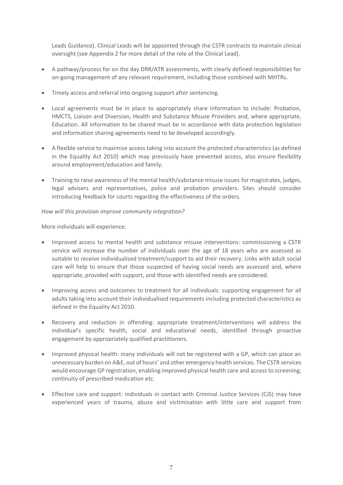Leads Guidance). Clinical Leads will be appointed through the CSTR contracts to maintain clinical oversight (see Appendix 2 for more detail of the role of the Clinical Lead).

- A pathway/process for on the day DRR/ATR assessments, with clearly defined responsibilities for on-going management of any relevant requirement, including those combined with MHTRs.
- Timely access and referral into ongoing support after sentencing.
- Local agreements must be in place to appropriately share information to include: Probation, HMCTS, Liaison and Diversion, Health and Substance Misuse Providers and, where appropriate, Education. All information to be shared must be in accordance with data protection legislation and information sharing agreements need to be developed accordingly.
- A flexible service to maximise access taking into account the protected characteristics (as defined in the Equality Act 2010) which may previously have prevented access, also ensure flexibility around employment/education and family.
- Training to raise awareness of the mental health/substance misuse issues for magistrates, judges, legal advisers and representatives, police and probation providers. Sites should consider introducing feedback for courts regarding the effectiveness of the orders.

#### *How will this provision improve community integration?*

More individuals will experience:

- Improved access to mental health and substance misuse interventions: commissioning a CSTR service will increase the number of individuals over the age of 18 years who are assessed as suitable to receive individualised treatment/support to aid their recovery. Links with adult social care will help to ensure that those suspected of having social needs are assessed and, where appropriate, provided with support, and those with identified needs are considered.
- Improving access and outcomes to treatment for all individuals: supporting engagement for all adults taking into account their individualised requirements including protected characteristics as defined in the Equality Act 2010.
- Recovery and reduction in offending: appropriate treatment/interventions will address the individual's specific health, social and educational needs, identified through proactive engagement by appropriately qualified practitioners.
- Improved physical health: many individuals will not be registered with a GP, which can place an unnecessary burden on A&E, out of hours' and other emergency health services. The CSTR services would encourage GP registration, enabling improved physical health care and access to screening, continuity of prescribed medication etc.
- Effective care and support: individuals in contact with Criminal Justice Services (CJS) may have experienced years of trauma, abuse and victimisation with little care and support from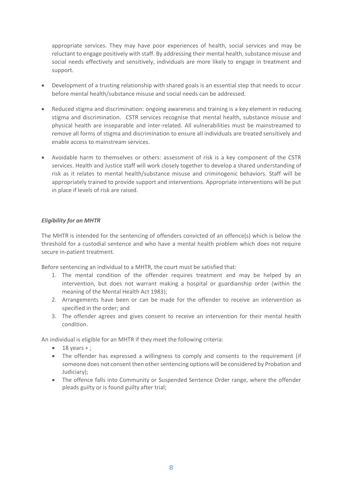appropriate services. They may have poor experiences of health, social services and may be reluctant to engage positively with staff. By addressing their mental health, substance misuse and social needs effectively and sensitively, individuals are more likely to engage in treatment and support.

- Development of a trusting relationship with shared goals is an essential step that needs to occur before mental health/substance misuse and social needs can be addressed.
- Reduced stigma and discrimination: ongoing awareness and training is a key element in reducing stigma and discrimination. CSTR services recognise that mental health, substance misuse and physical health are inseparable and inter-related. All vulnerabilities must be mainstreamed to remove all forms of stigma and discrimination to ensure all individuals are treated sensitively and enable access to mainstream services.
- Avoidable harm to themselves or others: assessment of risk is a key component of the CSTR services. Health and Justice staff will work closely together to develop a shared understanding of risk as it relates to mental health/substance misuse and criminogenic behaviors. Staff will be appropriately trained to provide support and interventions. Appropriate interventions will be put in place if levels of risk are raised.

#### *Eligibility for an MHTR*

The MHTR is intended for the sentencing of offenders convicted of an offence(s) which is below the threshold for a custodial sentence and who have a mental health problem which does not require secure in-patient treatment.

Before sentencing an individual to a MHTR, the court must be satisfied that:

- 1. The mental condition of the offender requires treatment and may be helped by an intervention, but does not warrant making a hospital or guardianship order (within the meaning of the Mental Health Act 1983);
- 2. Arrangements have been or can be made for the offender to receive an intervention as specified in the order; and
- 3. The offender agrees and gives consent to receive an intervention for their mental health condition.

An individual is eligible for an MHTR if they meet the following criteria:

- $\bullet$  18 years +;
- The offender has expressed a willingness to comply and consents to the requirement (if someone does not consent then other sentencing options will be considered by Probation and Judiciary);
- The offence falls into Community or Suspended Sentence Order range, where the offender pleads guilty or is found guilty after trial;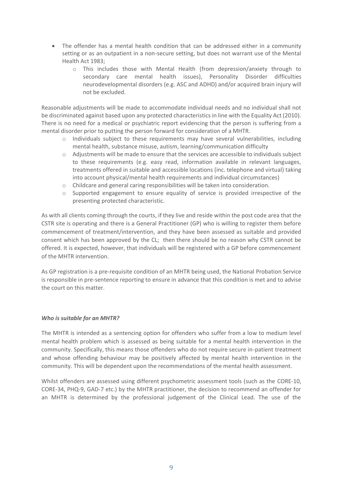- The offender has a mental health condition that can be addressed either in a community setting or as an outpatient in a non-secure setting, but does not warrant use of the Mental Health Act 1983;
	- o This includes those with Mental Health (from depression/anxiety through to secondary care mental health issues), Personality Disorder difficulties neurodevelopmental disorders (e.g. ASC and ADHD) and/or acquired brain injury will not be excluded.

Reasonable adjustments will be made to accommodate individual needs and no individual shall not be discriminated against based upon any protected characteristics in line with the Equality Act (2010). There is no need for a medical or psychiatric report evidencing that the person is suffering from a mental disorder prior to putting the person forward for consideration of a MHTR.

- o Individuals subject to these requirements may have several vulnerabilities, including mental health, substance misuse, autism, learning/communication difficulty
- o Adjustments will be made to ensure that the services are accessible to individuals subject to these requirements (e.g. easy read, information available in relevant languages, treatments offered in suitable and accessible locations (inc. telephone and virtual) taking into account physical/mental health requirements and individual circumstances)
- o Childcare and general caring responsibilities will be taken into consideration.
- o Supported engagement to ensure equality of service is provided irrespective of the presenting protected characteristic.

As with all clients coming through the courts, if they live and reside within the post code area that the CSTR site is operating and there is a General Practitioner (GP) who is willing to register them before commencement of treatment/intervention, and they have been assessed as suitable and provided consent which has been approved by the CL; then there should be no reason why CSTR cannot be offered. It is expected, however, that individuals will be registered with a GP before commencement of the MHTR intervention.

As GP registration is a pre-requisite condition of an MHTR being used, the National Probation Service is responsible in pre-sentence reporting to ensure in advance that this condition is met and to advise the court on this matter.

#### *Who is suitable for an MHTR?*

The MHTR is intended as a sentencing option for offenders who suffer from a low to medium level mental health problem which is assessed as being suitable for a mental health intervention in the community. Specifically, this means those offenders who do not require secure in-patient treatment and whose offending behaviour may be positively affected by mental health intervention in the community. This will be dependent upon the recommendations of the mental health assessment.

Whilst offenders are assessed using different psychometric assessment tools (such as the CORE-10, CORE-34, PHQ-9, GAD-7 etc.) by the MHTR practitioner, the decision to recommend an offender for an MHTR is determined by the professional judgement of the Clinical Lead. The use of the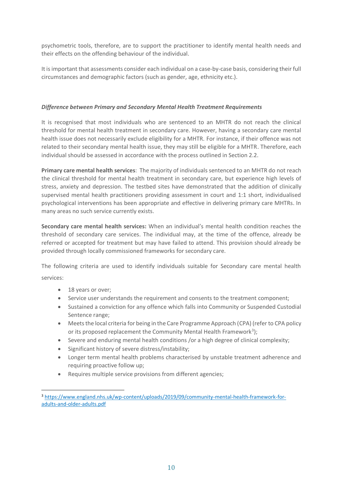psychometric tools, therefore, are to support the practitioner to identify mental health needs and their effects on the offending behaviour of the individual.

It is important that assessments consider each individual on a case-by-case basis, considering their full circumstances and demographic factors (such as gender, age, ethnicity etc.).

#### *Difference between Primary and Secondary Mental Health Treatment Requirements*

It is recognised that most individuals who are sentenced to an MHTR do not reach the clinical threshold for mental health treatment in secondary care. However, having a secondary care mental health issue does not necessarily exclude eligibility for a MHTR. For instance, if their offence was not related to their secondary mental health issue, they may still be eligible for a MHTR. Therefore, each individual should be assessed in accordance with the process outlined in Section 2.2.

**Primary care mental health services**: The majority of individuals sentenced to an MHTR do not reach the clinical threshold for mental health treatment in secondary care, but experience high levels of stress, anxiety and depression. The testbed sites have demonstrated that the addition of clinically supervised mental health practitioners providing assessment in court and 1:1 short, individualised psychological interventions has been appropriate and effective in delivering primary care MHTRs. In many areas no such service currently exists.

**Secondary care mental health services:** When an individual's mental health condition reaches the threshold of secondary care services. The individual may, at the time of the offence, already be referred or accepted for treatment but may have failed to attend. This provision should already be provided through locally commissioned frameworks for secondary care.

The following criteria are used to identify individuals suitable for Secondary care mental health services:

- 18 years or over;
- Service user understands the requirement and consents to the treatment component;
- Sustained a conviction for any offence which falls into Community or Suspended Custodial Sentence range;
- Meets the local criteria for being in the Care Programme Approach (CPA) (refer to CPA policy or its proposed replacement the Community Mental Health Framework<sup>3</sup>);
- Severe and enduring mental health conditions /or a high degree of clinical complexity;
- Significant history of severe distress/instability;
- Longer term mental health problems characterised by unstable treatment adherence and requiring proactive follow up;
- Requires multiple service provisions from different agencies;

<sup>3</sup> [https://www.england.nhs.uk/wp-content/uploads/2019/09/community-mental-health-framework-for](https://www.england.nhs.uk/wp-content/uploads/2019/09/community-mental-health-framework-for-adults-and-older-adults.pdf)[adults-and-older-adults.pdf](https://www.england.nhs.uk/wp-content/uploads/2019/09/community-mental-health-framework-for-adults-and-older-adults.pdf)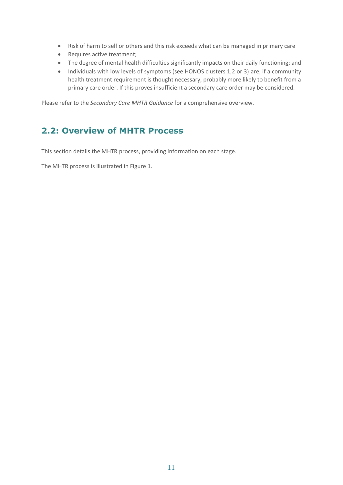- Risk of harm to self or others and this risk exceeds what can be managed in primary care
- Requires active treatment;
- The degree of mental health difficulties significantly impacts on their daily functioning; and
- Individuals with low levels of symptoms (see HONOS clusters 1,2 or 3) are, if a community health treatment requirement is thought necessary, probably more likely to benefit from a primary care order. If this proves insufficient a secondary care order may be considered.

Please refer to the *Secondary Care MHTR Guidance* for a comprehensive overview.

### **2.2: Overview of MHTR Process**

This section details the MHTR process, providing information on each stage.

The MHTR process is illustrated in Figure 1.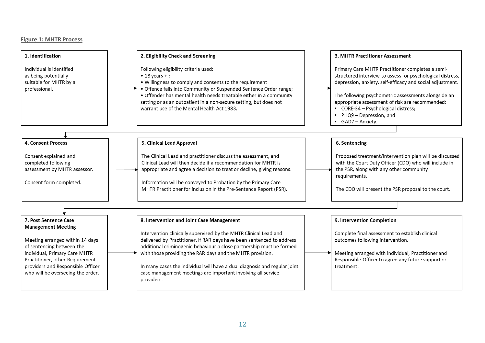#### **Figure 1: MHTR Process**

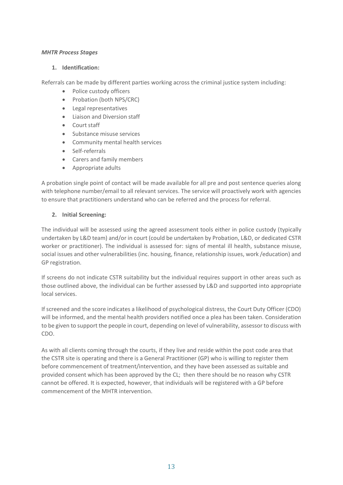#### *MHTR Process Stages*

#### **1. Identification:**

Referrals can be made by different parties working across the criminal justice system including:

- Police custody officers
- Probation (both NPS/CRC)
- Legal representatives
- Liaison and Diversion staff
- Court staff
- Substance misuse services
- Community mental health services
- Self-referrals
- Carers and family members
- Appropriate adults

A probation single point of contact will be made available for all pre and post sentence queries along with telephone number/email to all relevant services. The service will proactively work with agencies to ensure that practitioners understand who can be referred and the process for referral.

#### **2. Initial Screening:**

The individual will be assessed using the agreed assessment tools either in police custody (typically undertaken by L&D team) and/or in court (could be undertaken by Probation, L&D, or dedicated CSTR worker or practitioner). The individual is assessed for: signs of mental ill health, substance misuse, social issues and other vulnerabilities (inc. housing, finance, relationship issues, work /education) and GP registration.

If screens do not indicate CSTR suitability but the individual requires support in other areas such as those outlined above, the individual can be further assessed by L&D and supported into appropriate local services.

If screened and the score indicates a likelihood of psychological distress, the Court Duty Officer (CDO) will be informed, and the mental health providers notified once a plea has been taken. Consideration to be given to support the people in court, depending on level of vulnerability, assessor to discuss with CDO.

As with all clients coming through the courts, if they live and reside within the post code area that the CSTR site is operating and there is a General Practitioner (GP) who is willing to register them before commencement of treatment/intervention, and they have been assessed as suitable and provided consent which has been approved by the CL; then there should be no reason why CSTR cannot be offered. It is expected, however, that individuals will be registered with a GP before commencement of the MHTR intervention.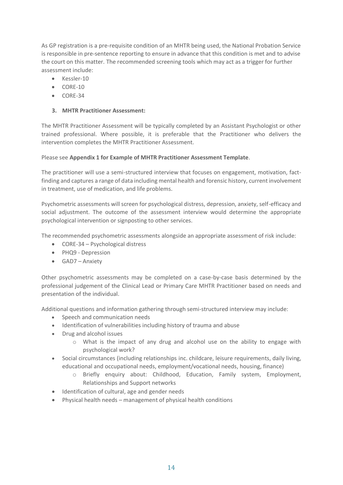As GP registration is a pre-requisite condition of an MHTR being used, the National Probation Service is responsible in pre-sentence reporting to ensure in advance that this condition is met and to advise the court on this matter. The recommended screening tools which may act as a trigger for further assessment include:

- Kessler-10
- CORE-10
- CORE-34

#### **3. MHTR Practitioner Assessment:**

The MHTR Practitioner Assessment will be typically completed by an Assistant Psychologist or other trained professional. Where possible, it is preferable that the Practitioner who delivers the intervention completes the MHTR Practitioner Assessment.

#### Please see **Appendix 1 for Example of MHTR Practitioner Assessment Template**.

The practitioner will use a semi-structured interview that focuses on engagement, motivation, factfinding and captures a range of data including mental health and forensic history, current involvement in treatment, use of medication, and life problems.

Psychometric assessments will screen for psychological distress, depression, anxiety, self-efficacy and social adjustment. The outcome of the assessment interview would determine the appropriate psychological intervention or signposting to other services.

The recommended psychometric assessments alongside an appropriate assessment of risk include:

- CORE-34 Psychological distress
- PHQ9 Depression
- GAD7 Anxiety

Other psychometric assessments may be completed on a case-by-case basis determined by the professional judgement of the Clinical Lead or Primary Care MHTR Practitioner based on needs and presentation of the individual.

Additional questions and information gathering through semi-structured interview may include:

- Speech and communication needs
- Identification of vulnerabilities including history of trauma and abuse
- Drug and alcohol issues
	- o What is the impact of any drug and alcohol use on the ability to engage with psychological work?
- Social circumstances (including relationships inc. childcare, leisure requirements, daily living, educational and occupational needs, employment/vocational needs, housing, finance)
	- o Briefly enquiry about: Childhood, Education, Family system, Employment, Relationships and Support networks
- Identification of cultural, age and gender needs
- Physical health needs management of physical health conditions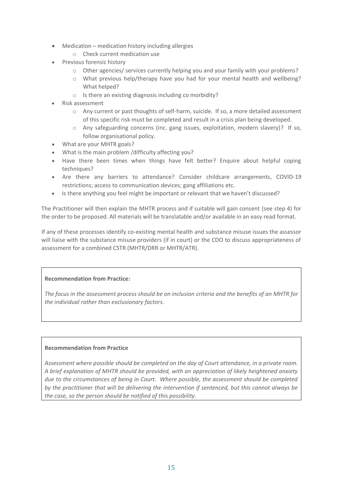- Medication medication history including allergies
	- o Check current medication use
- **Previous forensic history** 
	- o Other agencies/ services currently helping you and your family with your problems?
	- o What previous help/therapy have you had for your mental health and wellbeing? What helped?
	- o Is there an existing diagnosis including co morbidity?
- Risk assessment
	- o Any current or past thoughts of self-harm, suicide. If so, a more detailed assessment of this specific risk must be completed and result in a crisis plan being developed.
	- o Any safeguarding concerns (inc. gang issues, exploitation, modern slavery)? If so, follow organisational policy.
- What are your MHTR goals?
- What is the main problem /difficulty affecting you?
- Have there been times when things have felt better? Enquire about helpful coping techniques?
- Are there any barriers to attendance? Consider childcare arrangements, COVID-19 restrictions; access to communication devices; gang affiliations etc.
- Is there anything you feel might be important or relevant that we haven't discussed?

The Practitioner will then explain the MHTR process and if suitable will gain consent (see step 4) for the order to be proposed. All materials will be translatable and/or available in an easy read format.

If any of these processes identify co-existing mental health and substance misuse issues the assessor will liaise with the substance misuse providers (if in court) or the CDO to discuss appropriateness of assessment for a combined CSTR (MHTR/DRR or MHTR/ATR).

#### **Recommendation from Practice:**

*The focus in the assessment process should be on inclusion criteria and the benefits of an MHTR for the individual rather than exclusionary factors.*

#### **Recommendation from Practice**

*Assessment where possible should be completed on the day of Court attendance, in a private room. A brief explanation of MHTR should be provided, with an appreciation of likely heightened anxiety due to the circumstances of being in Court. Where possible, the assessment should be completed by the practitioner that will be delivering the intervention if sentenced, but this cannot always be the case, so the person should be notified of this possibility*.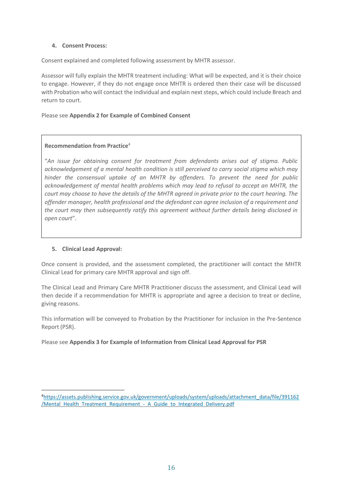#### **4. Consent Process:**

Consent explained and completed following assessment by MHTR assessor.

Assessor will fully explain the MHTR treatment including: What will be expected, and it is their choice to engage. However, if they do not engage once MHTR is ordered then their case will be discussed with Probation who will contact the individual and explain next steps, which could include Breach and return to court.

#### Please see **Appendix 2 for Example of Combined Consent**

#### **Recommendation from Practice**<sup>4</sup>

"*An issue for obtaining consent for treatment from defendants arises out of stigma. Public acknowledgement of a mental health condition is still perceived to carry social stigma which may hinder the consensual uptake of an MHTR by offenders. To prevent the need for public acknowledgement of mental health problems which may lead to refusal to accept an MHTR, the court may choose to have the details of the MHTR agreed in private prior to the court hearing. The offender manager, health professional and the defendant can agree inclusion of a requirement and the court may then subsequently ratify this agreement without further details being disclosed in open court*".

#### **5. Clinical Lead Approval:**

Once consent is provided, and the assessment completed, the practitioner will contact the MHTR Clinical Lead for primary care MHTR approval and sign off.

The Clinical Lead and Primary Care MHTR Practitioner discuss the assessment, and Clinical Lead will then decide if a recommendation for MHTR is appropriate and agree a decision to treat or decline, giving reasons.

This information will be conveyed to Probation by the Practitioner for inclusion in the Pre-Sentence Report (PSR).

Please see **Appendix 3 for Example of Information from Clinical Lead Approval for PSR**

<sup>4</sup>[https://assets.publishing.service.gov.uk/government/uploads/system/uploads/attachment\\_data/file/391162](https://assets.publishing.service.gov.uk/government/uploads/system/uploads/attachment_data/file/391162/Mental_Health_Treatment_Requirement_-_A_Guide_to_Integrated_Delivery.pdf) /Mental Health Treatment Requirement - A Guide to Integrated Delivery.pdf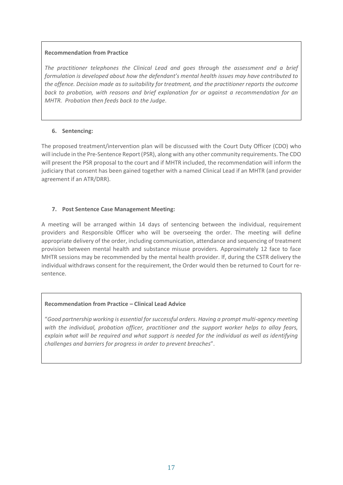#### **Recommendation from Practice**

*The practitioner telephones the Clinical Lead and goes through the assessment and a brief formulation is developed about how the defendant's mental health issues may have contributed to the offence. Decision made as to suitability for treatment, and the practitioner reports the outcome back to probation, with reasons and brief explanation for or against a recommendation for an MHTR. Probation then feeds back to the Judge*.

#### **6. Sentencing:**

The proposed treatment/intervention plan will be discussed with the Court Duty Officer (CDO) who will include in the Pre-Sentence Report (PSR), along with any other community requirements. The CDO will present the PSR proposal to the court and if MHTR included, the recommendation will inform the judiciary that consent has been gained together with a named Clinical Lead if an MHTR (and provider agreement if an ATR/DRR).

#### **7. Post Sentence Case Management Meeting:**

A meeting will be arranged within 14 days of sentencing between the individual, requirement providers and Responsible Officer who will be overseeing the order. The meeting will define appropriate delivery of the order, including communication, attendance and sequencing of treatment provision between mental health and substance misuse providers. Approximately 12 face to face MHTR sessions may be recommended by the mental health provider. If, during the CSTR delivery the individual withdraws consent for the requirement, the Order would then be returned to Court for resentence.

#### **Recommendation from Practice – Clinical Lead Advice**

"*Good partnership working is essential for successful orders. Having a prompt multi-agency meeting with the individual, probation officer, practitioner and the support worker helps to allay fears, explain what will be required and what support is needed for the individual as well as identifying challenges and barriers for progress in order to prevent breaches*".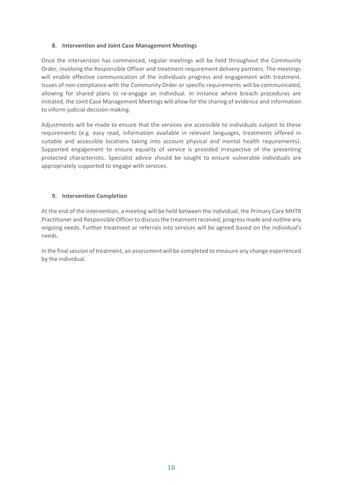#### **8. Intervention and Joint Case Management Meetings**

Once the intervention has commenced, regular meetings will be held throughout the Community Order, involving the Responsible Officer and treatment requirement delivery partners. The meetings will enable effective communication of the individuals progress and engagement with treatment. Issues of non-compliance with the Community Order or specific requirements will be communicated, allowing for shared plans to re-engage an individual. In instance where breach procedures are initiated, the Joint Case Management Meetings will allow for the sharing of evidence and information to inform judicial decision-making.

Adjustments will be made to ensure that the services are accessible to individuals subject to these requirements (e.g. easy read, information available in relevant languages, treatments offered in suitable and accessible locations taking into account physical and mental health requirements). Supported engagement to ensure equality of service is provided irrespective of the presenting protected characteristic. Specialist advice should be sought to ensure vulnerable individuals are appropriately supported to engage with services.

#### **9. Intervention Completion**

At the end of the intervention, a meeting will be held between the individual, the Primary Care MHTR Practitioner and Responsible Officer to discuss the treatment received, progress made and outline any ongoing needs. Further treatment or referrals into services will be agreed based on the individual's needs.

In the final session of treatment, an assessment will be completed to measure any change experienced by the individual.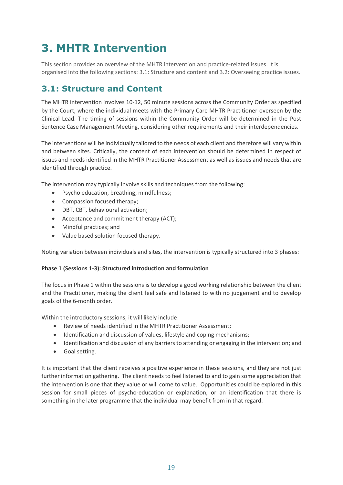## **3. MHTR Intervention**

This section provides an overview of the MHTR intervention and practice-related issues. It is organised into the following sections: 3.1: Structure and content and 3.2: Overseeing practice issues.

### **3.1: Structure and Content**

The MHTR intervention involves 10-12, 50 minute sessions across the Community Order as specified by the Court, where the individual meets with the Primary Care MHTR Practitioner overseen by the Clinical Lead. The timing of sessions within the Community Order will be determined in the Post Sentence Case Management Meeting, considering other requirements and their interdependencies.

The interventions will be individually tailored to the needs of each client and therefore will vary within and between sites. Critically, the content of each intervention should be determined in respect of issues and needs identified in the MHTR Practitioner Assessment as well as issues and needs that are identified through practice.

The intervention may typically involve skills and techniques from the following:

- Psycho education, breathing, mindfulness;
- Compassion focused therapy;
- DBT, CBT, behavioural activation;
- Acceptance and commitment therapy (ACT);
- Mindful practices; and
- Value based solution focused therapy.

Noting variation between individuals and sites, the intervention is typically structured into 3 phases:

#### **Phase 1 (Sessions 1-3): Structured introduction and formulation**

The focus in Phase 1 within the sessions is to develop a good working relationship between the client and the Practitioner, making the client feel safe and listened to with no judgement and to develop goals of the 6-month order.

Within the introductory sessions, it will likely include:

- Review of needs identified in the MHTR Practitioner Assessment;
- Identification and discussion of values, lifestyle and coping mechanisms;
- Identification and discussion of any barriers to attending or engaging in the intervention; and
- Goal setting.

It is important that the client receives a positive experience in these sessions, and they are not just further information gathering. The client needs to feel listened to and to gain some appreciation that the intervention is one that they value or will come to value. Opportunities could be explored in this session for small pieces of psycho-education or explanation, or an identification that there is something in the later programme that the individual may benefit from in that regard.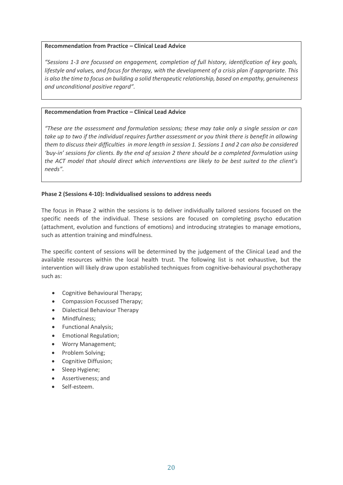#### **Recommendation from Practice – Clinical Lead Advice**

*"Sessions 1-3 are focussed on engagement, completion of full history, identification of key goals, lifestyle and values, and focus for therapy, with the development of a crisis plan if appropriate. This is also the time to focus on building a solid therapeutic relationship, based on empathy, genuineness and unconditional positive regard".*

#### **Recommendation from Practice – Clinical Lead Advice**

*"These are the assessment and formulation sessions; these may take only a single session or can take up to two if the individual requires further assessment or you think there is benefit in allowing them to discuss their difficulties in more length in session 1. Sessions 1 and 2 can also be considered 'buy-in' sessions for clients. By the end of session 2 there should be a completed formulation using the ACT model that should direct which interventions are likely to be best suited to the client's needs".*

#### **Phase 2 (Sessions 4-10): Individualised sessions to address needs**

The focus in Phase 2 within the sessions is to deliver individually tailored sessions focused on the specific needs of the individual. These sessions are focused on completing psycho education (attachment, evolution and functions of emotions) and introducing strategies to manage emotions, such as attention training and mindfulness.

The specific content of sessions will be determined by the judgement of the Clinical Lead and the available resources within the local health trust. The following list is not exhaustive, but the intervention will likely draw upon established techniques from cognitive-behavioural psychotherapy such as:

- Cognitive Behavioural Therapy;
- Compassion Focussed Therapy;
- Dialectical Behaviour Therapy
- Mindfulness;
- Functional Analysis;
- Emotional Regulation;
- Worry Management;
- Problem Solving;
- Cognitive Diffusion;
- Sleep Hygiene;
- Assertiveness; and
- Self-esteem.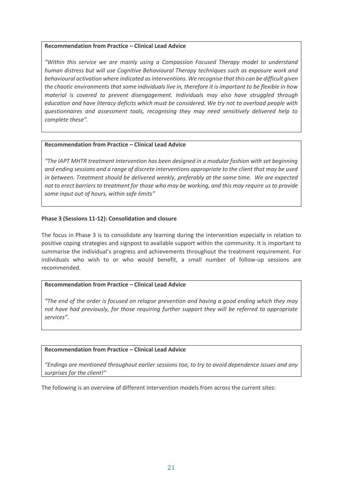#### **Recommendation from Practice – Clinical Lead Advice**

*"Within this service we are mainly using a Compassion Focused Therapy model to understand human distress but will use Cognitive Behavioural Therapy techniques such as exposure work and behavioural activation where indicated as interventions. We recognise that this can be difficult given the chaotic environments that some individuals live in, therefore it is important to be flexible in how material is covered to prevent disengagement. Individuals may also have struggled through education and have literacy deficits which must be considered. We try not to overload people with questionnaires and assessment tools, recognising they may need sensitively delivered help to complete these".*

#### **Recommendation from Practice – Clinical Lead Advice**

*"The IAPT MHTR treatment intervention has been designed in a modular fashion with set beginning and ending sessions and a range of discrete interventions appropriate to the client that may be used in between. Treatment should be delivered weekly, preferably at the same time. We are expected not to erect barriers to treatment for those who may be working, and this may require us to provide some input out of hours, within safe limits"*

#### **Phase 3 (Sessions 11-12): Consolidation and closure**

The focus in Phase 3 is to consolidate any learning during the intervention especially in relation to positive coping strategies and signpost to available support within the community. It is important to summarise the individual's progress and achievements throughout the treatment requirement. For individuals who wish to or who would benefit, a small number of follow-up sessions are recommended.

#### **Recommendation from Practice – Clinical Lead Advice**

*"The end of the order is focused on relapse prevention and having a good ending which they may not have had previously, for those requiring further support they will be referred to appropriate services".*

#### **Recommendation from Practice – Clinical Lead Advice**

*"Endings are mentioned throughout earlier sessions too, to try to avoid dependence issues and any surprises for the client!"*

The following is an overview of different intervention models from across the current sites: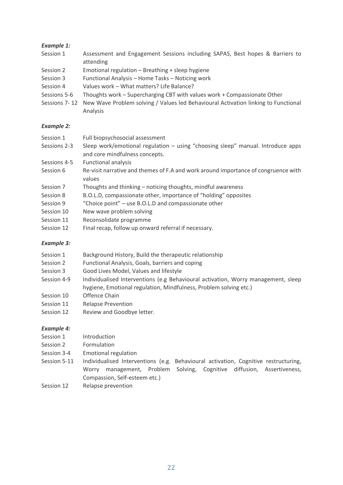#### *Example 1:*

- Session 1 Assessment and Engagement Sessions including SAPAS, Best hopes & Barriers to attending
- Session 2 Emotional regulation Breathing + sleep hygiene
- Session 3 Functional Analysis Home Tasks Noticing work
- Session 4 Values work What matters? Life Balance?
- Sessions 5-6 Thoughts work Supercharging CBT with values work + Compassionate Other
- Sessions 7- 12 New Wave Problem solving / Values led Behavioural Activation linking to Functional Analysis

#### *Example 2:*

| Session 1    | Full biopsychosocial assessment                                                              |
|--------------|----------------------------------------------------------------------------------------------|
| Sessions 2-3 | Sleep work/emotional regulation - using "choosing sleep" manual. Introduce apps              |
|              | and core mindfulness concepts.                                                               |
| Sessions 4-5 | <b>Functional analysis</b>                                                                   |
| Session 6    | Re-visit narrative and themes of F.A and work around importance of congruence with<br>values |
| Session 7    | Thoughts and thinking - noticing thoughts, mindful awareness                                 |
| Session 8    | B.O.L.D, compassionate other, importance of "holding" opposites                              |
| Session 9    | "Choice point" – use B.O.L.D and compassionate other                                         |
| Session 10   | New wave problem solving                                                                     |
| Session 11   | Reconsolidate programme                                                                      |
| Session 12   | Final recap, follow up onward referral if necessary.                                         |

#### *Example 3:*

- Session 1 Background History, Build the therapeutic relationship
- Session 2 Functional Analysis, Goals, barriers and coping
- Session 3 Good Lives Model, Values and lifestyle
- Session 4-9 Individualised Interventions (e.g Behavioural activation, Worry management, sleep hygiene, Emotional regulation, Mindfulness, Problem solving etc.)
- Session 10 Offence Chain
- Session 11 Relapse Prevention
- Session 12 Review and Goodbye letter.

#### *Example 4:*

- Session 1 Introduction
- Session 2 Formulation
- Session 3-4 Emotional regulation
- Session 5-11 Individualised Interventions (e.g. Behavioural activation, Cognitive restructuring, Worry management, Problem Solving, Cognitive diffusion, Assertiveness, Compassion, Self-esteem etc.)
- Session 12 Relapse prevention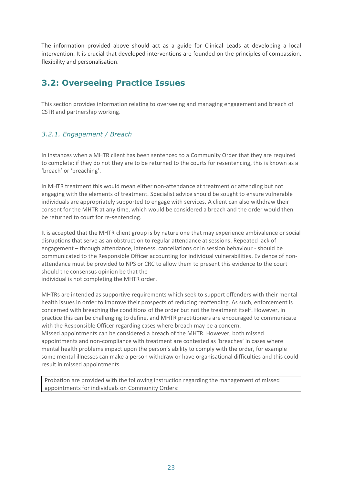The information provided above should act as a guide for Clinical Leads at developing a local intervention. It is crucial that developed interventions are founded on the principles of compassion, flexibility and personalisation.

### **3.2: Overseeing Practice Issues**

This section provides information relating to overseeing and managing engagement and breach of CSTR and partnership working.

#### *3.2.1. Engagement / Breach*

In instances when a MHTR client has been sentenced to a Community Order that they are required to complete; if they do not they are to be returned to the courts for resentencing, this is known as a 'breach' or 'breaching'.

In MHTR treatment this would mean either non-attendance at treatment or attending but not engaging with the elements of treatment. Specialist advice should be sought to ensure vulnerable individuals are appropriately supported to engage with services. A client can also withdraw their consent for the MHTR at any time, which would be considered a breach and the order would then be returned to court for re-sentencing.

It is accepted that the MHTR client group is by nature one that may experience ambivalence or social disruptions that serve as an obstruction to regular attendance at sessions. Repeated lack of engagement – through attendance, lateness, cancellations or in session behaviour - should be communicated to the Responsible Officer accounting for individual vulnerabilities. Evidence of nonattendance must be provided to NPS or CRC to allow them to present this evidence to the court should the consensus opinion be that the

individual is not completing the MHTR order.

MHTRs are intended as supportive requirements which seek to support offenders with their mental health issues in order to improve their prospects of reducing reoffending. As such, enforcement is concerned with breaching the conditions of the order but not the treatment itself. However, in practice this can be challenging to define, and MHTR practitioners are encouraged to communicate with the Responsible Officer regarding cases where breach may be a concern. Missed appointments can be considered a breach of the MHTR. However, both missed appointments and non-compliance with treatment are contested as 'breaches' in cases where mental health problems impact upon the person's ability to comply with the order, for example some mental illnesses can make a person withdraw or have organisational difficulties and this could result in missed appointments.

Probation are provided with the following instruction regarding the management of missed appointments for individuals on Community Orders: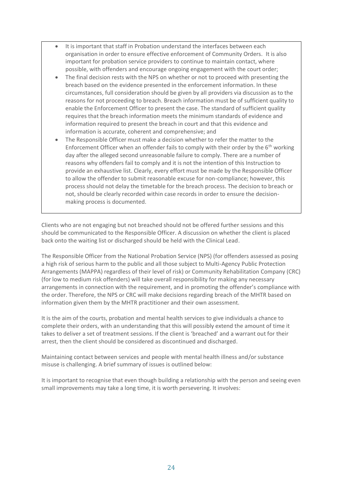- It is important that staff in Probation understand the interfaces between each organisation in order to ensure effective enforcement of Community Orders. It is also important for probation service providers to continue to maintain contact, where possible, with offenders and encourage ongoing engagement with the court order;
- The final decision rests with the NPS on whether or not to proceed with presenting the breach based on the evidence presented in the enforcement information. In these circumstances, full consideration should be given by all providers via discussion as to the reasons for not proceeding to breach. Breach information must be of sufficient quality to enable the Enforcement Officer to present the case. The standard of sufficient quality requires that the breach information meets the minimum standards of evidence and information required to present the breach in court and that this evidence and information is accurate, coherent and comprehensive; and
- The Responsible Officer must make a decision whether to refer the matter to the Enforcement Officer when an offender fails to comply with their order by the  $6<sup>th</sup>$  working day after the alleged second unreasonable failure to comply. There are a number of reasons why offenders fail to comply and it is not the intention of this Instruction to provide an exhaustive list. Clearly, every effort must be made by the Responsible Officer to allow the offender to submit reasonable excuse for non-compliance; however, this process should not delay the timetable for the breach process. The decision to breach or not, should be clearly recorded within case records in order to ensure the decisionmaking process is documented.

Clients who are not engaging but not breached should not be offered further sessions and this should be communicated to the Responsible Officer. A discussion on whether the client is placed back onto the waiting list or discharged should be held with the Clinical Lead.

The Responsible Officer from the National Probation Service (NPS) (for offenders assessed as posing a high risk of serious harm to the public and all those subject to Multi-Agency Public Protection Arrangements (MAPPA) regardless of their level of risk) or Community Rehabilitation Company (CRC) (for low to medium risk offenders) will take overall responsibility for making any necessary arrangements in connection with the requirement, and in promoting the offender's compliance with the order. Therefore, the NPS or CRC will make decisions regarding breach of the MHTR based on information given them by the MHTR practitioner and their own assessment.

It is the aim of the courts, probation and mental health services to give individuals a chance to complete their orders, with an understanding that this will possibly extend the amount of time it takes to deliver a set of treatment sessions. If the client is 'breached' and a warrant out for their arrest, then the client should be considered as discontinued and discharged.

Maintaining contact between services and people with mental health illness and/or substance misuse is challenging. A brief summary of issues is outlined below:

It is important to recognise that even though building a relationship with the person and seeing even small improvements may take a long time, it is worth persevering. It involves: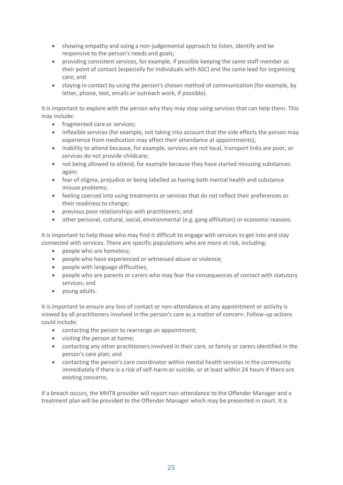- showing empathy and using a non-judgemental approach to listen, identify and be responsive to the person's needs and goals;
- providing consistent services, for example, if possible keeping the same staff member as their point of contact (especially for individuals with ASC) and the same lead for organising care; and
- staying in contact by using the person's chosen method of communication (for example, by letter, phone, text, emails or outreach work, if possible).

It is important to explore with the person why they may stop using services that can help them. This may include:

- fragmented care or services;
- inflexible services (for example, not taking into account that the side effects the person may experience from medication may affect their attendance at appointments);
- inability to attend because, for example, services are not local, transport links are poor, or services do not provide childcare;
- not being allowed to attend, for example because they have started misusing substances again;
- fear of stigma, prejudice or being labelled as having both mental health and substance misuse problems;
- feeling coerced into using treatments or services that do not reflect their preferences or their readiness to change;
- previous poor relationships with practitioners; and
- other personal, cultural, social, environmental (e.g. gang affiliation) or economic reasons.

It is important to help those who may find it difficult to engage with services to get into and stay connected with services. There are specific populations who are more at risk, including:

- people who are homeless;
- people who have experienced or witnessed abuse or violence;
- people with language difficulties;
- people who are parents or carers who may fear the consequences of contact with statutory services; and
- young adults.

It is important to ensure any loss of contact or non-attendance at any appointment or activity is viewed by all practitioners involved in the person's care as a matter of concern. Follow-up actions could include:

- contacting the person to rearrange an appointment;
- visiting the person at home;
- contacting any other practitioners involved in their care, or family or carers identified in the person's care plan; and
- contacting the person's care coordinator within mental health services in the community immediately if there is a risk of self-harm or suicide, or at least within 24 hours if there are existing concerns.

If a breach occurs, the MHTR provider will report non-attendance to the Offender Manager and a treatment plan will be provided to the Offender Manager which may be presented in court. It is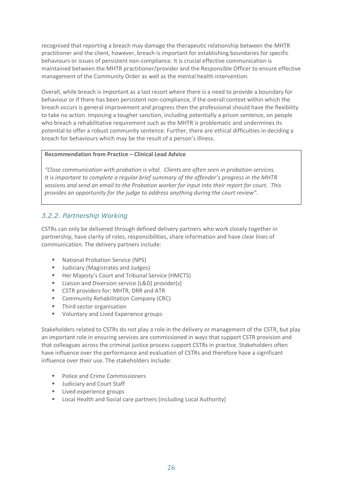recognised that reporting a breach may damage the therapeutic relationship between the MHTR practitioner and the client, however, breach is important for establishing boundaries for specific behaviours or issues of persistent non-compliance. It is crucial effective communication is maintained between the MHTR practitioner/provider and the Responsible Officer to ensure effective management of the Community Order as well as the mental health intervention.

Overall, while breach is important as a last resort where there is a need to provide a boundary for behaviour or if there has been persistent non-compliance, if the overall context within which the breach occurs is general improvement and progress then the professional should have the flexibility to take no action. Imposing a tougher sanction, including potentially a prison sentence, on people who breach a rehabilitative requirement such as the MHTR is problematic and undermines its potential to offer a robust community sentence. Further, there are ethical difficulties in deciding a breach for behaviours which may be the result of a person's illness.

#### **Recommendation from Practice – Clinical Lead Advice**

*"Close communication with probation is vital. Clients are often seen in probation services. It is important to complete a regular brief summary of the offender's progress in the MHTR sessions and send an email to the Probation worker for input into their report for court. This provides an opportunity for the judge to address anything during the court review".* 

#### *3.2.2. Partnership Working*

CSTRs can only be delivered through defined delivery partners who work closely together in partnership, have clarity of roles, responsibilities, share information and have clear lines of communication. The delivery partners include:

- National Probation Service (NPS)
- Judiciary (Magistrates and Judges)
- Her Majesty's Court and Tribunal Service (HMCTS)
- Liaison and Diversion service (L&D) provider(s)
- CSTR providers for: MHTR, DRR and ATR
- Community Rehabilitation Company (CRC)
- Third sector organisation
- Voluntary and Lived Experience groups

Stakeholders related to CSTRs do not play a role in the delivery or management of the CSTR, but play an important role in ensuring services are commissioned in ways that support CSTR provision and that colleagues across the criminal justice process support CSTRs in practice. Stakeholders often have influence over the performance and evaluation of CSTRs and therefore have a significant influence over their use. The stakeholders include:

- Police and Crime Commissioners
- **■** Judiciary and Court Staff
- **EXECUTE:** Lived experience groups
- Local Health and Social care partners (including Local Authority)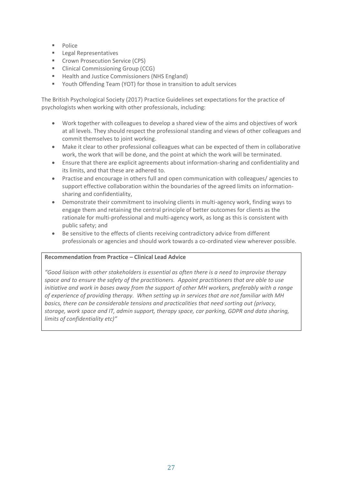- Police
- Legal Representatives
- Crown Prosecution Service (CPS)
- Clinical Commissioning Group (CCG)
- Health and Justice Commissioners (NHS England)
- Youth Offending Team (YOT) for those in transition to adult services

The British Psychological Society (2017) Practice Guidelines set expectations for the practice of psychologists when working with other professionals, including:

- Work together with colleagues to develop a shared view of the aims and objectives of work at all levels. They should respect the professional standing and views of other colleagues and commit themselves to joint working.
- Make it clear to other professional colleagues what can be expected of them in collaborative work, the work that will be done, and the point at which the work will be terminated.
- Ensure that there are explicit agreements about information-sharing and confidentiality and its limits, and that these are adhered to.
- Practise and encourage in others full and open communication with colleagues/ agencies to support effective collaboration within the boundaries of the agreed limits on informationsharing and confidentiality,
- Demonstrate their commitment to involving clients in multi-agency work, finding ways to engage them and retaining the central principle of better outcomes for clients as the rationale for multi-professional and multi-agency work, as long as this is consistent with public safety; and
- Be sensitive to the effects of clients receiving contradictory advice from different professionals or agencies and should work towards a co-ordinated view wherever possible.

#### **Recommendation from Practice – Clinical Lead Advice**

*"Good liaison with other stakeholders is essential as often there is a need to improvise therapy space and to ensure the safety of the practitioners. Appoint practitioners that are able to use initiative and work in bases away from the support of other MH workers, preferably with a range of experience of providing therapy. When setting up in services that are not familiar with MH basics, there can be considerable tensions and practicalities that need sorting out (privacy, storage, work space and IT, admin support, therapy space, car parking, GDPR and data sharing, limits of confidentiality etc)"*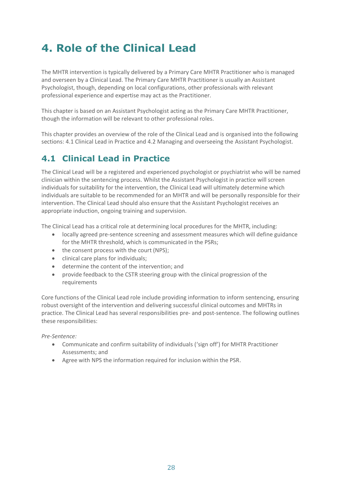## **4. Role of the Clinical Lead**

The MHTR intervention is typically delivered by a Primary Care MHTR Practitioner who is managed and overseen by a Clinical Lead. The Primary Care MHTR Practitioner is usually an Assistant Psychologist, though, depending on local configurations, other professionals with relevant professional experience and expertise may act as the Practitioner.

This chapter is based on an Assistant Psychologist acting as the Primary Care MHTR Practitioner, though the information will be relevant to other professional roles.

This chapter provides an overview of the role of the Clinical Lead and is organised into the following sections: 4.1 Clinical Lead in Practice and 4.2 Managing and overseeing the Assistant Psychologist.

## **4.1 Clinical Lead in Practice**

The Clinical Lead will be a registered and experienced psychologist or psychiatrist who will be named clinician within the sentencing process. Whilst the Assistant Psychologist in practice will screen individuals for suitability for the intervention, the Clinical Lead will ultimately determine which individuals are suitable to be recommended for an MHTR and will be personally responsible for their intervention. The Clinical Lead should also ensure that the Assistant Psychologist receives an appropriate induction, ongoing training and supervision.

The Clinical Lead has a critical role at determining local procedures for the MHTR, including:

- locally agreed pre-sentence screening and assessment measures which will define guidance for the MHTR threshold, which is communicated in the PSRs;
- the consent process with the court (NPS);
- clinical care plans for individuals;
- determine the content of the intervention; and
- provide feedback to the CSTR steering group with the clinical progression of the requirements

Core functions of the Clinical Lead role include providing information to inform sentencing, ensuring robust oversight of the intervention and delivering successful clinical outcomes and MHTRs in practice. The Clinical Lead has several responsibilities pre- and post-sentence. The following outlines these responsibilities:

*Pre-Sentence:*

- Communicate and confirm suitability of individuals ('sign off') for MHTR Practitioner Assessments; and
- Agree with NPS the information required for inclusion within the PSR.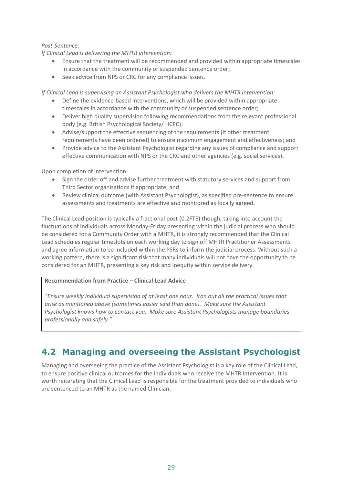#### *Post-Sentence:*

*If Clinical Lead is delivering the MHTR intervention:*

- Ensure that the treatment will be recommended and provided within appropriate timescales in accordance with the community or suspended sentence order;
- Seek advice from NPS or CRC for any compliance issues.

*If Clinical Lead is supervising an Assistant Psychologist who delivers the MHTR intervention:*

- Define the evidence-based interventions, which will be provided within appropriate timescales in accordance with the community or suspended sentence order;
- Deliver high quality supervision following recommendations from the relevant professional body (e.g. British Psychological Society/ HCPC);
- Advise/support the effective sequencing of the requirements (if other treatment requirements have been ordered) to ensure maximum engagement and effectiveness; and
- Provide advice to the Assistant Psychologist regarding any issues of compliance and support effective communication with NPS or the CRC and other agencies (e.g. social services).

Upon completion of intervention:

- Sign the order off and advise further treatment with statutory services and support from Third Sector organisations if appropriate; and
- Review clinical outcome (with Assistant Psychologist), as specified pre-sentence to ensure assessments and treatments are effective and monitored as locally agreed.

The Clinical Lead position is typically a fractional post (0.2FTE) though, taking into account the fluctuations of individuals across Monday-Friday presenting within the judicial process who should be considered for a Community Order with a MHTR, it is strongly recommended that the Clinical Lead schedules regular timeslots on each working day to sign off MHTR Practitioner Assessments and agree information to be included within the PSRs to inform the judicial process. Without such a working pattern, there is a significant risk that many individuals will not have the opportunity to be considered for an MHTR, presenting a key risk and inequity within service delivery.

#### **Recommendation from Practice – Clinical Lead Advice**

*"Ensure weekly individual supervision of at least one hour. Iron out all the practical issues that arise as mentioned above (sometimes easier said than done). Make sure the Assistant Psychologist knows how to contact you. Make sure Assistant Psychologists manage boundaries professionally and safely."*

### **4.2 Managing and overseeing the Assistant Psychologist**

Managing and overseeing the practice of the Assistant Psychologist is a key role of the Clinical Lead, to ensure positive clinical outcomes for the individuals who receive the MHTR intervention. It is worth reiterating that the Clinical Lead is responsible for the treatment provided to individuals who are sentenced to an MHTR as the named Clinician.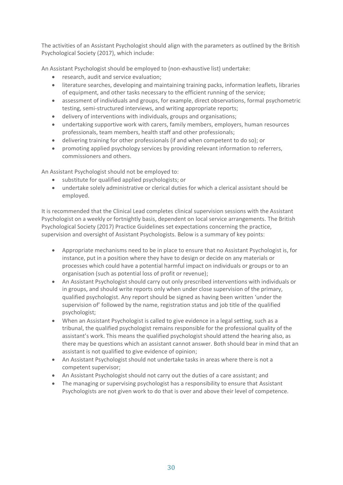The activities of an Assistant Psychologist should align with the parameters as outlined by the British Psychological Society (2017), which include:

An Assistant Psychologist should be employed to (non-exhaustive list) undertake:

- research, audit and service evaluation;
- literature searches, developing and maintaining training packs, information leaflets, libraries of equipment, and other tasks necessary to the efficient running of the service;
- assessment of individuals and groups, for example, direct observations, formal psychometric testing, semi-structured interviews, and writing appropriate reports;
- delivery of interventions with individuals, groups and organisations;
- undertaking supportive work with carers, family members, employers, human resources professionals, team members, health staff and other professionals;
- delivering training for other professionals (if and when competent to do so); or
- promoting applied psychology services by providing relevant information to referrers, commissioners and others.

An Assistant Psychologist should not be employed to:

- substitute for qualified applied psychologists; or
- undertake solely administrative or clerical duties for which a clerical assistant should be employed.

It is recommended that the Clinical Lead completes clinical supervision sessions with the Assistant Psychologist on a weekly or fortnightly basis, dependent on local service arrangements. The British Psychological Society (2017) Practice Guidelines set expectations concerning the practice, supervision and oversight of Assistant Psychologists. Below is a summary of key points:

- Appropriate mechanisms need to be in place to ensure that no Assistant Psychologist is, for instance, put in a position where they have to design or decide on any materials or processes which could have a potential harmful impact on individuals or groups or to an organisation (such as potential loss of profit or revenue);
- An Assistant Psychologist should carry out only prescribed interventions with individuals or in groups, and should write reports only when under close supervision of the primary, qualified psychologist. Any report should be signed as having been written 'under the supervision of' followed by the name, registration status and job title of the qualified psychologist;
- When an Assistant Psychologist is called to give evidence in a legal setting, such as a tribunal, the qualified psychologist remains responsible for the professional quality of the assistant's work. This means the qualified psychologist should attend the hearing also, as there may be questions which an assistant cannot answer. Both should bear in mind that an assistant is not qualified to give evidence of opinion;
- An Assistant Psychologist should not undertake tasks in areas where there is not a competent supervisor;
- An Assistant Psychologist should not carry out the duties of a care assistant; and
- The managing or supervising psychologist has a responsibility to ensure that Assistant Psychologists are not given work to do that is over and above their level of competence.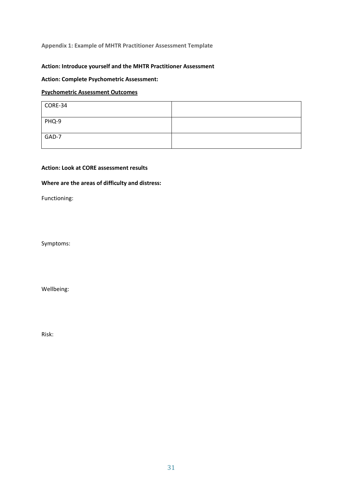#### **Appendix 1: Example of MHTR Practitioner Assessment Template**

#### **Action: Introduce yourself and the MHTR Practitioner Assessment**

#### **Action: Complete Psychometric Assessment:**

#### **Psychometric Assessment Outcomes**

| CORE-34 |  |
|---------|--|
| PHQ-9   |  |
| GAD-7   |  |

#### **Action: Look at CORE assessment results**

#### **Where are the areas of difficulty and distress:**

Functioning:

Symptoms:

Wellbeing:

Risk: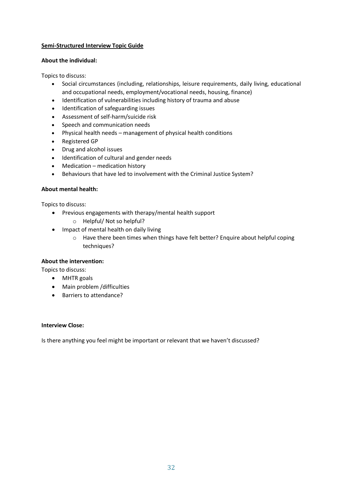#### **Semi-Structured Interview Topic Guide**

#### **About the individual:**

Topics to discuss:

- Social circumstances (including, relationships, leisure requirements, daily living, educational and occupational needs, employment/vocational needs, housing, finance)
- Identification of vulnerabilities including history of trauma and abuse
- Identification of safeguarding issues
- Assessment of self-harm/suicide risk
- Speech and communication needs
- Physical health needs management of physical health conditions
- Registered GP
- Drug and alcohol issues
- Identification of cultural and gender needs
- Medication medication history
- Behaviours that have led to involvement with the Criminal Justice System?

#### **About mental health:**

Topics to discuss:

- Previous engagements with therapy/mental health support
	- o Helpful/ Not so helpful?
- Impact of mental health on daily living
	- o Have there been times when things have felt better? Enquire about helpful coping techniques?

#### **About the intervention:**

Topics to discuss:

- MHTR goals
- Main problem /difficulties
- Barriers to attendance?

#### **Interview Close:**

Is there anything you feel might be important or relevant that we haven't discussed?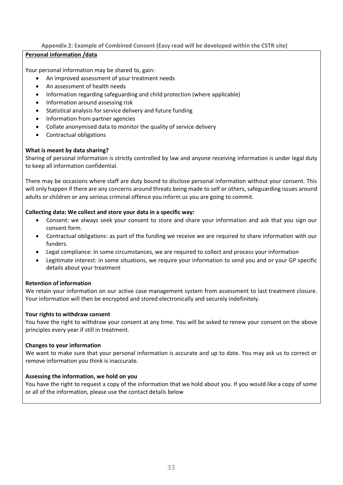#### **Appendix 2: Example of Combined Consent (Easy read will be developed within the CSTR site)**

#### **Personal information /data**

Your personal information may be shared to, gain:

- An improved assessment of your treatment needs
- An assessment of health needs
- Information regarding safeguarding and child protection (where applicable)
- Information around assessing risk
- Statistical analysis for service delivery and future funding
- Information from partner agencies
- Collate anonymised data to monitor the quality of service delivery
- Contractual obligations

#### **What is meant by data sharing?**

Sharing of personal information is strictly controlled by law and anyone receiving information is under legal duty to keep all information confidential.

There may be occasions where staff are duty bound to disclose personal information without your consent. This will only happen if there are any concerns around threats being made to self or others, safeguarding issues around adults or children or any serious criminal offence you inform us you are going to commit.

#### **Collecting data: We collect and store your data in a specific way:**

- Consent: we always seek your consent to store and share your information and ask that you sign our consent form.
- Contractual obligations: as part of the funding we receive we are required to share information with our funders.
- Legal compliance: In some circumstances, we are required to collect and process your information
- Legitimate interest: in some situations, we require your information to send you and or your GP specific details about your treatment

#### **Retention of information**

We retain your information on our active case management system from assessment to last treatment closure. Your information will then be encrypted and stored electronically and securely indefinitely.

#### **Your rights to withdraw consent**

You have the right to withdraw your consent at any time. You will be asked to renew your consent on the above principles every year if still in treatment.

#### **Changes to your information**

We want to make sure that your personal information is accurate and up to date. You may ask us to correct or remove information you think is inaccurate.

#### **Assessing the information, we hold on you**

You have the right to request a copy of the information that we hold about you. If you would like a copy of some or all of the information, please use the contact details below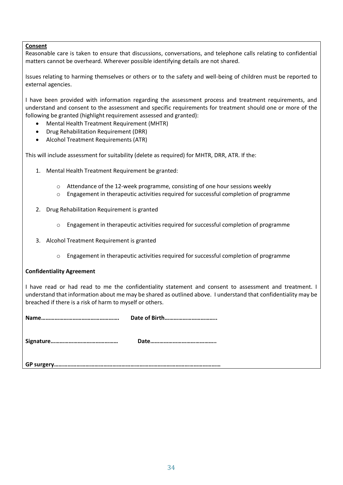#### **Consent**

Reasonable care is taken to ensure that discussions, conversations, and telephone calls relating to confidential matters cannot be overheard. Wherever possible identifying details are not shared.

Issues relating to harming themselves or others or to the safety and well-being of children must be reported to external agencies.

I have been provided with information regarding the assessment process and treatment requirements, and understand and consent to the assessment and specific requirements for treatment should one or more of the following be granted (highlight requirement assessed and granted):

- Mental Health Treatment Requirement (MHTR)
- Drug Rehabilitation Requirement (DRR)
- Alcohol Treatment Requirements (ATR)

This will include assessment for suitability (delete as required) for MHTR, DRR, ATR. If the:

- 1. Mental Health Treatment Requirement be granted:
	- o Attendance of the 12-week programme, consisting of one hour sessions weekly
	- $\circ$  Engagement in therapeutic activities required for successful completion of programme
- 2. Drug Rehabilitation Requirement is granted
	- o Engagement in therapeutic activities required for successful completion of programme
- 3. Alcohol Treatment Requirement is granted
	- $\circ$  Engagement in therapeutic activities required for successful completion of programme

#### **Confidentiality Agreement**

I have read or had read to me the confidentiality statement and consent to assessment and treatment. I understand that information about me may be shared as outlined above. I understand that confidentiality may be breached if there is a risk of harm to myself or others.